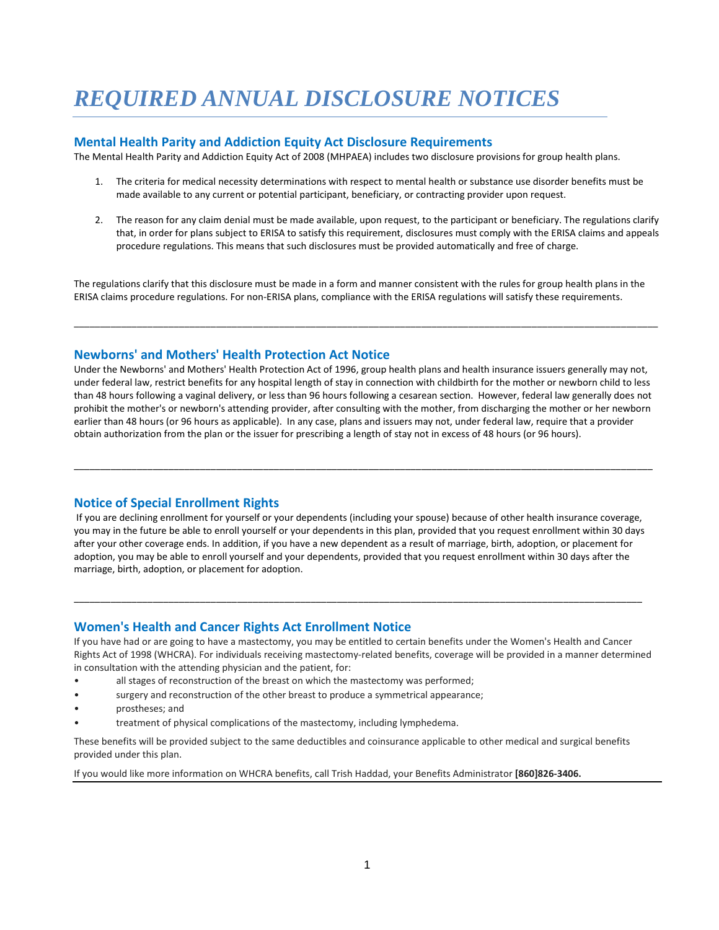# *REQUIRED ANNUAL DISCLOSURE NOTICES*

## **Mental Health Parity and Addiction Equity Act Disclosure Requirements**

The Mental Health Parity and Addiction Equity Act of 2008 (MHPAEA) includes two disclosure provisions for group health plans.

- 1. The criteria for medical necessity determinations with respect to mental health or substance use disorder benefits must be made available to any current or potential participant, beneficiary, or contracting provider upon request.
- 2. The reason for any claim denial must be made available, upon request, to the participant or beneficiary. The regulations clarify that, in order for plans subject to ERISA to satisfy this requirement, disclosures must comply with the ERISA claims and appeals procedure regulations. This means that such disclosures must be provided automatically and free of charge.

The regulations clarify that this disclosure must be made in a form and manner consistent with the rules for group health plans in the ERISA claims procedure regulations. For non-ERISA plans, compliance with the ERISA regulations will satisfy these requirements.

\_\_\_\_\_\_\_\_\_\_\_\_\_\_\_\_\_\_\_\_\_\_\_\_\_\_\_\_\_\_\_\_\_\_\_\_\_\_\_\_\_\_\_\_\_\_\_\_\_\_\_\_\_\_\_\_\_\_\_\_\_\_\_\_\_\_\_\_\_\_\_\_\_\_\_\_\_\_\_\_\_\_\_\_\_\_\_\_\_\_\_\_\_\_\_\_\_\_\_\_\_\_\_\_\_\_\_\_\_\_\_

## **Newborns' and Mothers' Health Protection Act Notice**

Under the Newborns' and Mothers' Health Protection Act of 1996, group health plans and health insurance issuers generally may not, under federal law, restrict benefits for any hospital length of stay in connection with childbirth for the mother or newborn child to less than 48 hours following a vaginal delivery, or less than 96 hours following a cesarean section. However, federal law generally does not prohibit the mother's or newborn's attending provider, after consulting with the mother, from discharging the mother or her newborn earlier than 48 hours (or 96 hours as applicable). In any case, plans and issuers may not, under federal law, require that a provider obtain authorization from the plan or the issuer for prescribing a length of stay not in excess of 48 hours (or 96 hours).

\_\_\_\_\_\_\_\_\_\_\_\_\_\_\_\_\_\_\_\_\_\_\_\_\_\_\_\_\_\_\_\_\_\_\_\_\_\_\_\_\_\_\_\_\_\_\_\_\_\_\_\_\_\_\_\_\_\_\_\_\_\_\_\_\_\_\_\_\_\_\_\_\_\_\_\_\_\_\_\_\_\_\_\_\_\_\_\_\_\_\_\_\_\_\_\_\_\_\_\_\_\_\_\_\_\_\_\_\_\_

# **Notice of Special Enrollment Rights**

If you are declining enrollment for yourself or your dependents (including your spouse) because of other health insurance coverage, you may in the future be able to enroll yourself or your dependents in this plan, provided that you request enrollment within 30 days after your other coverage ends. In addition, if you have a new dependent as a result of marriage, birth, adoption, or placement for adoption, you may be able to enroll yourself and your dependents, provided that you request enrollment within 30 days after the marriage, birth, adoption, or placement for adoption.

\_\_\_\_\_\_\_\_\_\_\_\_\_\_\_\_\_\_\_\_\_\_\_\_\_\_\_\_\_\_\_\_\_\_\_\_\_\_\_\_\_\_\_\_\_\_\_\_\_\_\_\_\_\_\_\_\_\_\_\_\_\_\_\_\_\_\_\_\_\_\_\_\_\_\_\_\_\_\_\_\_\_\_\_\_\_\_\_\_\_\_\_\_\_\_\_\_\_\_\_\_\_\_\_\_\_\_\_

# **Women's Health and Cancer Rights Act Enrollment Notice**

If you have had or are going to have a mastectomy, you may be entitled to certain benefits under the Women's Health and Cancer Rights Act of 1998 (WHCRA). For individuals receiving mastectomy-related benefits, coverage will be provided in a manner determined in consultation with the attending physician and the patient, for:

- all stages of reconstruction of the breast on which the mastectomy was performed;
- surgery and reconstruction of the other breast to produce a symmetrical appearance;
- prostheses; and
- treatment of physical complications of the mastectomy, including lymphedema.

These benefits will be provided subject to the same deductibles and coinsurance applicable to other medical and surgical benefits provided under this plan.

If you would like more information on WHCRA benefits, call Trish Haddad, your Benefits Administrator **[860]826-3406.**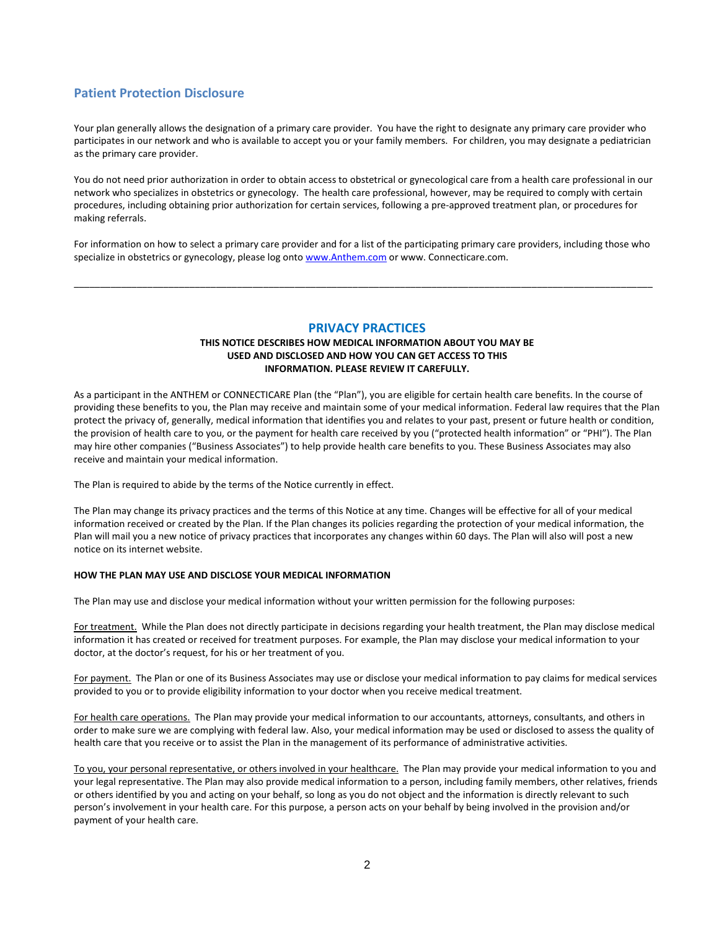# **Patient Protection Disclosure**

Your plan generally allows the designation of a primary care provider. You have the right to designate any primary care provider who participates in our network and who is available to accept you or your family members. For children, you may designate a pediatrician as the primary care provider.

You do not need prior authorization in order to obtain access to obstetrical or gynecological care from a health care professional in our network who specializes in obstetrics or gynecology. The health care professional, however, may be required to comply with certain procedures, including obtaining prior authorization for certain services, following a pre-approved treatment plan, or procedures for making referrals.

For information on how to select a primary care provider and for a list of the participating primary care providers, including those who specialize in obstetrics or gynecology, please log ont[o www.Anthem.com](http://www.anthem.com/) or www. Connecticare.com.

\_\_\_\_\_\_\_\_\_\_\_\_\_\_\_\_\_\_\_\_\_\_\_\_\_\_\_\_\_\_\_\_\_\_\_\_\_\_\_\_\_\_\_\_\_\_\_\_\_\_\_\_\_\_\_\_\_\_\_\_\_\_\_\_\_\_\_\_\_\_\_\_\_\_\_\_\_\_\_\_\_\_\_\_\_\_\_\_\_\_\_\_\_\_\_\_\_\_\_\_\_\_\_\_\_\_\_\_\_\_

## **PRIVACY PRACTICES**

## **THIS NOTICE DESCRIBES HOW MEDICAL INFORMATION ABOUT YOU MAY BE USED AND DISCLOSED AND HOW YOU CAN GET ACCESS TO THIS INFORMATION. PLEASE REVIEW IT CAREFULLY.**

As a participant in the ANTHEM or CONNECTICARE Plan (the "Plan"), you are eligible for certain health care benefits. In the course of providing these benefits to you, the Plan may receive and maintain some of your medical information. Federal law requires that the Plan protect the privacy of, generally, medical information that identifies you and relates to your past, present or future health or condition, the provision of health care to you, or the payment for health care received by you ("protected health information" or "PHI"). The Plan may hire other companies ("Business Associates") to help provide health care benefits to you. These Business Associates may also receive and maintain your medical information.

The Plan is required to abide by the terms of the Notice currently in effect.

The Plan may change its privacy practices and the terms of this Notice at any time. Changes will be effective for all of your medical information received or created by the Plan. If the Plan changes its policies regarding the protection of your medical information, the Plan will mail you a new notice of privacy practices that incorporates any changes within 60 days. The Plan will also will post a new notice on its internet website.

## **HOW THE PLAN MAY USE AND DISCLOSE YOUR MEDICAL INFORMATION**

The Plan may use and disclose your medical information without your written permission for the following purposes:

For treatment. While the Plan does not directly participate in decisions regarding your health treatment, the Plan may disclose medical information it has created or received for treatment purposes. For example, the Plan may disclose your medical information to your doctor, at the doctor's request, for his or her treatment of you.

For payment. The Plan or one of its Business Associates may use or disclose your medical information to pay claims for medical services provided to you or to provide eligibility information to your doctor when you receive medical treatment.

For health care operations. The Plan may provide your medical information to our accountants, attorneys, consultants, and others in order to make sure we are complying with federal law. Also, your medical information may be used or disclosed to assess the quality of health care that you receive or to assist the Plan in the management of its performance of administrative activities.

To you, your personal representative, or others involved in your healthcare. The Plan may provide your medical information to you and your legal representative. The Plan may also provide medical information to a person, including family members, other relatives, friends or others identified by you and acting on your behalf, so long as you do not object and the information is directly relevant to such person's involvement in your health care. For this purpose, a person acts on your behalf by being involved in the provision and/or payment of your health care.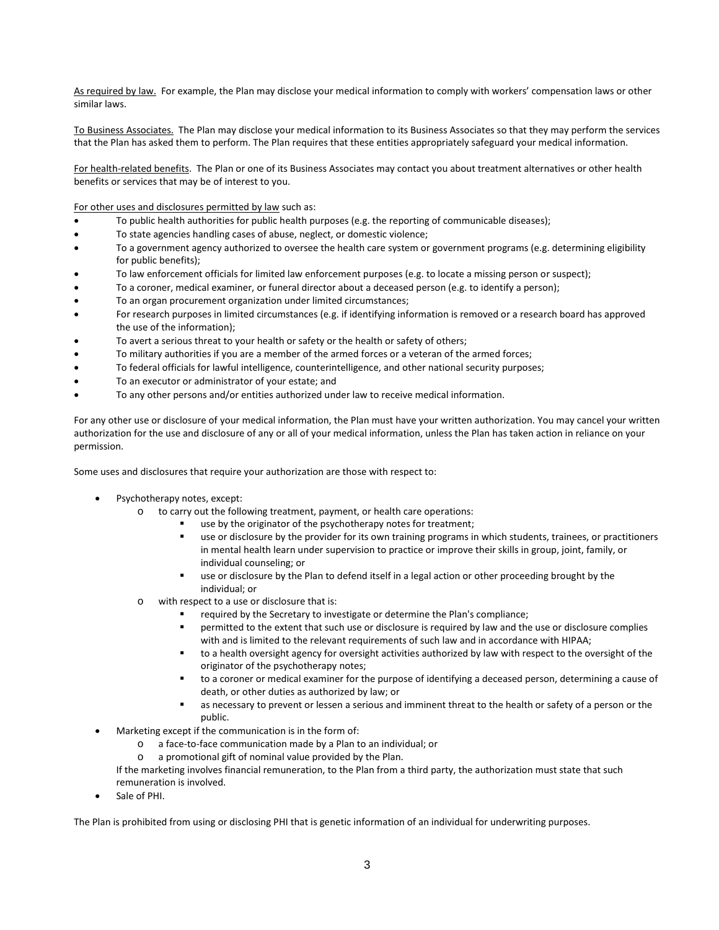As required by law. For example, the Plan may disclose your medical information to comply with workers' compensation laws or other similar laws.

To Business Associates. The Plan may disclose your medical information to its Business Associates so that they may perform the services that the Plan has asked them to perform. The Plan requires that these entities appropriately safeguard your medical information.

For health-related benefits. The Plan or one of its Business Associates may contact you about treatment alternatives or other health benefits or services that may be of interest to you.

For other uses and disclosures permitted by law such as:

- To public health authorities for public health purposes (e.g. the reporting of communicable diseases);
- To state agencies handling cases of abuse, neglect, or domestic violence;
- To a government agency authorized to oversee the health care system or government programs (e.g. determining eligibility for public benefits);
- To law enforcement officials for limited law enforcement purposes (e.g. to locate a missing person or suspect);
- To a coroner, medical examiner, or funeral director about a deceased person (e.g. to identify a person);
- To an organ procurement organization under limited circumstances;
- For research purposes in limited circumstances (e.g. if identifying information is removed or a research board has approved the use of the information);
- To avert a serious threat to your health or safety or the health or safety of others;
- To military authorities if you are a member of the armed forces or a veteran of the armed forces;
- To federal officials for lawful intelligence, counterintelligence, and other national security purposes;
- To an executor or administrator of your estate; and
- To any other persons and/or entities authorized under law to receive medical information.

For any other use or disclosure of your medical information, the Plan must have your written authorization. You may cancel your written authorization for the use and disclosure of any or all of your medical information, unless the Plan has taken action in reliance on your permission.

Some uses and disclosures that require your authorization are those with respect to:

- Psychotherapy notes, except:
	- o to carry out the following treatment, payment, or health care operations:
		- use by the originator of the psychotherapy notes for treatment;
		- use or disclosure by the provider for its own training programs in which students, trainees, or practitioners in mental health learn under supervision to practice or improve their skills in group, joint, family, or individual counseling; or
		- use or disclosure by the Plan to defend itself in a legal action or other proceeding brought by the individual; or
	- o with respect to a use or disclosure that is:
		- required by the Secretary to investigate or determine the Plan's compliance;
		- permitted to the extent that such use or disclosure is required by law and the use or disclosure complies with and is limited to the relevant requirements of such law and in accordance with HIPAA;
		- to a health oversight agency for oversight activities authorized by law with respect to the oversight of the originator of the psychotherapy notes;
		- to a coroner or medical examiner for the purpose of identifying a deceased person, determining a cause of death, or other duties as authorized by law; or
		- as necessary to prevent or lessen a serious and imminent threat to the health or safety of a person or the public.
- Marketing except if the communication is in the form of:
	- o a face-to-face communication made by a Plan to an individual; or
	- o a promotional gift of nominal value provided by the Plan.
	- If the marketing involves financial remuneration, to the Plan from a third party, the authorization must state that such remuneration is involved.
- Sale of PHI.

The Plan is prohibited from using or disclosing PHI that is genetic information of an individual for underwriting purposes.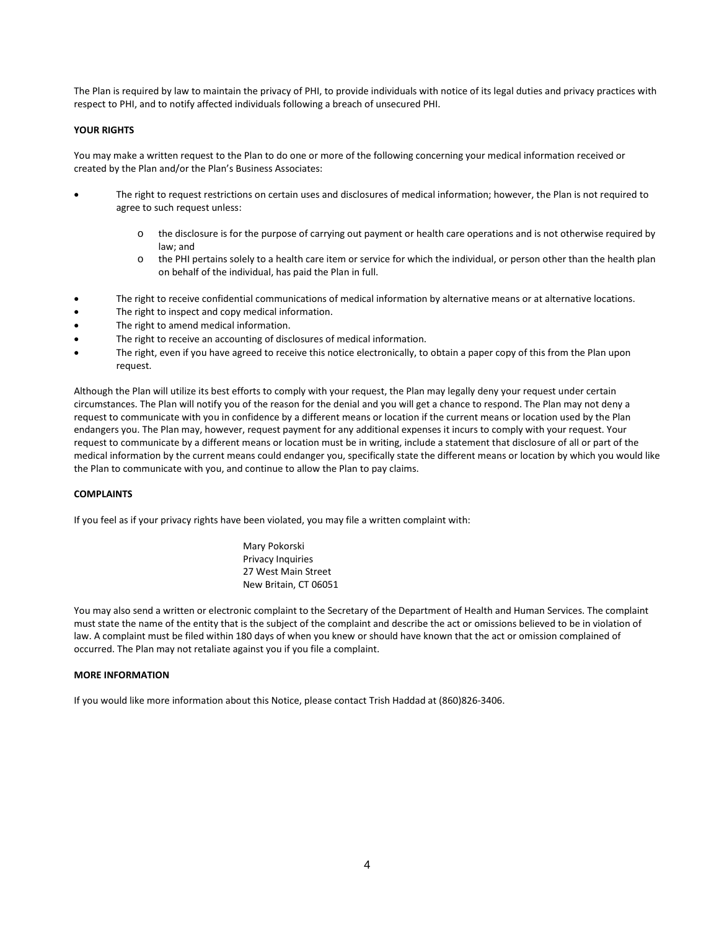The Plan is required by law to maintain the privacy of PHI, to provide individuals with notice of its legal duties and privacy practices with respect to PHI, and to notify affected individuals following a breach of unsecured PHI.

## **YOUR RIGHTS**

You may make a written request to the Plan to do one or more of the following concerning your medical information received or created by the Plan and/or the Plan's Business Associates:

- The right to request restrictions on certain uses and disclosures of medical information; however, the Plan is not required to agree to such request unless:
	- o the disclosure is for the purpose of carrying out payment or health care operations and is not otherwise required by law; and
	- o the PHI pertains solely to a health care item or service for which the individual, or person other than the health plan on behalf of the individual, has paid the Plan in full.
- The right to receive confidential communications of medical information by alternative means or at alternative locations.
- The right to inspect and copy medical information.
- The right to amend medical information.
- The right to receive an accounting of disclosures of medical information.
- The right, even if you have agreed to receive this notice electronically, to obtain a paper copy of this from the Plan upon request.

Although the Plan will utilize its best efforts to comply with your request, the Plan may legally deny your request under certain circumstances. The Plan will notify you of the reason for the denial and you will get a chance to respond. The Plan may not deny a request to communicate with you in confidence by a different means or location if the current means or location used by the Plan endangers you. The Plan may, however, request payment for any additional expenses it incurs to comply with your request. Your request to communicate by a different means or location must be in writing, include a statement that disclosure of all or part of the medical information by the current means could endanger you, specifically state the different means or location by which you would like the Plan to communicate with you, and continue to allow the Plan to pay claims.

#### **COMPLAINTS**

If you feel as if your privacy rights have been violated, you may file a written complaint with:

Mary Pokorski Privacy Inquiries 27 West Main Street New Britain, CT 06051

You may also send a written or electronic complaint to the Secretary of the Department of Health and Human Services. The complaint must state the name of the entity that is the subject of the complaint and describe the act or omissions believed to be in violation of law. A complaint must be filed within 180 days of when you knew or should have known that the act or omission complained of occurred. The Plan may not retaliate against you if you file a complaint.

#### **MORE INFORMATION**

If you would like more information about this Notice, please contact Trish Haddad at (860)826-3406.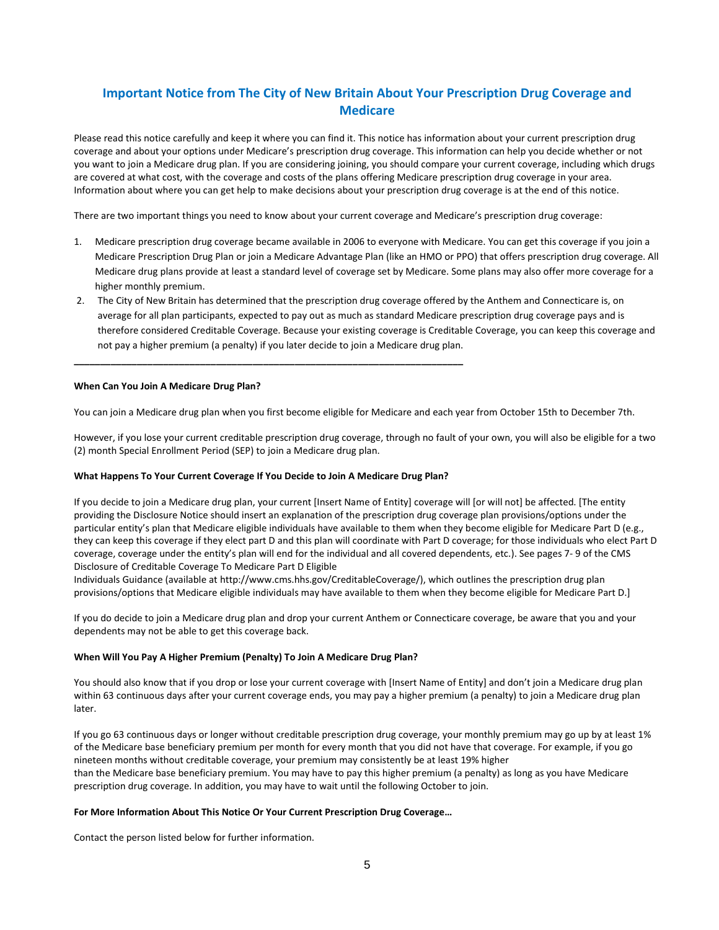# **Important Notice from The City of New Britain About Your Prescription Drug Coverage and Medicare**

Please read this notice carefully and keep it where you can find it. This notice has information about your current prescription drug coverage and about your options under Medicare's prescription drug coverage. This information can help you decide whether or not you want to join a Medicare drug plan. If you are considering joining, you should compare your current coverage, including which drugs are covered at what cost, with the coverage and costs of the plans offering Medicare prescription drug coverage in your area. Information about where you can get help to make decisions about your prescription drug coverage is at the end of this notice.

There are two important things you need to know about your current coverage and Medicare's prescription drug coverage:

- 1. Medicare prescription drug coverage became available in 2006 to everyone with Medicare. You can get this coverage if you join a Medicare Prescription Drug Plan or join a Medicare Advantage Plan (like an HMO or PPO) that offers prescription drug coverage. All Medicare drug plans provide at least a standard level of coverage set by Medicare. Some plans may also offer more coverage for a higher monthly premium.
- 2. The City of New Britain has determined that the prescription drug coverage offered by the Anthem and Connecticare is, on average for all plan participants, expected to pay out as much as standard Medicare prescription drug coverage pays and is therefore considered Creditable Coverage. Because your existing coverage is Creditable Coverage, you can keep this coverage and not pay a higher premium (a penalty) if you later decide to join a Medicare drug plan.

#### **When Can You Join A Medicare Drug Plan?**

You can join a Medicare drug plan when you first become eligible for Medicare and each year from October 15th to December 7th.

However, if you lose your current creditable prescription drug coverage, through no fault of your own, you will also be eligible for a two (2) month Special Enrollment Period (SEP) to join a Medicare drug plan.

#### **What Happens To Your Current Coverage If You Decide to Join A Medicare Drug Plan?**

**\_\_\_\_\_\_\_\_\_\_\_\_\_\_\_\_\_\_\_\_\_\_\_\_\_\_\_\_\_\_\_\_\_\_\_\_\_\_\_\_\_\_\_\_\_\_\_\_\_\_\_\_\_\_\_\_\_\_\_\_\_\_\_\_\_\_\_\_\_\_\_\_\_\_** 

If you decide to join a Medicare drug plan, your current [Insert Name of Entity] coverage will [or will not] be affected. [The entity providing the Disclosure Notice should insert an explanation of the prescription drug coverage plan provisions/options under the particular entity's plan that Medicare eligible individuals have available to them when they become eligible for Medicare Part D (e.g., they can keep this coverage if they elect part D and this plan will coordinate with Part D coverage; for those individuals who elect Part D coverage, coverage under the entity's plan will end for the individual and all covered dependents, etc.). See pages 7- 9 of the CMS Disclosure of Creditable Coverage To Medicare Part D Eligible

Individuals Guidance (available at http://www.cms.hhs.gov/CreditableCoverage/), which outlines the prescription drug plan provisions/options that Medicare eligible individuals may have available to them when they become eligible for Medicare Part D.]

If you do decide to join a Medicare drug plan and drop your current Anthem or Connecticare coverage, be aware that you and your dependents may not be able to get this coverage back.

#### **When Will You Pay A Higher Premium (Penalty) To Join A Medicare Drug Plan?**

You should also know that if you drop or lose your current coverage with [Insert Name of Entity] and don't join a Medicare drug plan within 63 continuous days after your current coverage ends, you may pay a higher premium (a penalty) to join a Medicare drug plan later.

If you go 63 continuous days or longer without creditable prescription drug coverage, your monthly premium may go up by at least 1% of the Medicare base beneficiary premium per month for every month that you did not have that coverage. For example, if you go nineteen months without creditable coverage, your premium may consistently be at least 19% higher than the Medicare base beneficiary premium. You may have to pay this higher premium (a penalty) as long as you have Medicare prescription drug coverage. In addition, you may have to wait until the following October to join.

#### **For More Information About This Notice Or Your Current Prescription Drug Coverage…**

Contact the person listed below for further information.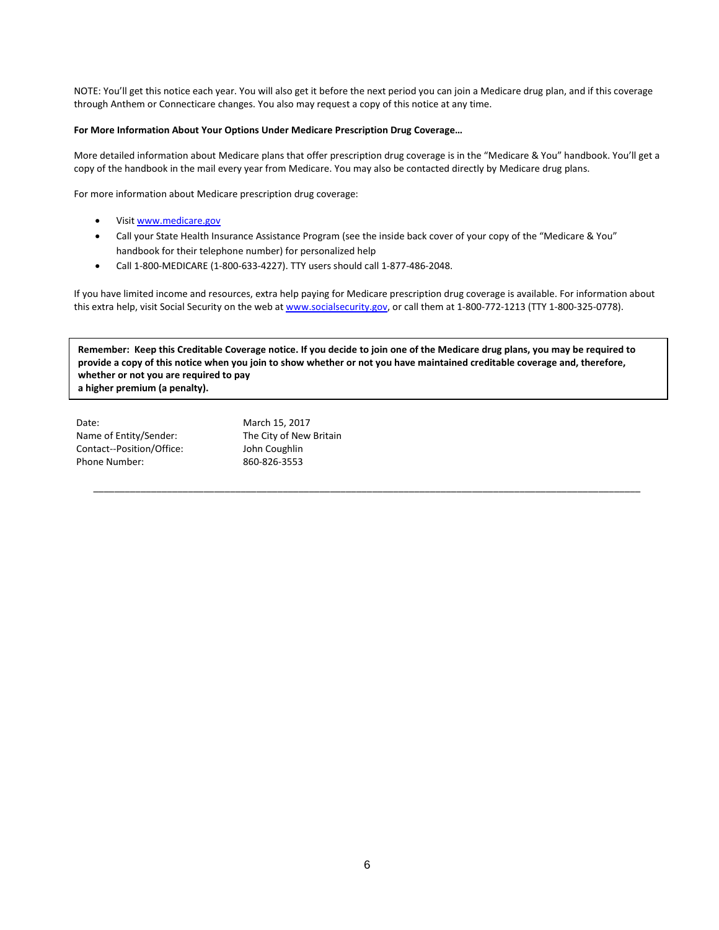NOTE: You'll get this notice each year. You will also get it before the next period you can join a Medicare drug plan, and if this coverage through Anthem or Connecticare changes. You also may request a copy of this notice at any time.

#### **For More Information About Your Options Under Medicare Prescription Drug Coverage…**

More detailed information about Medicare plans that offer prescription drug coverage is in the "Medicare & You" handbook. You'll get a copy of the handbook in the mail every year from Medicare. You may also be contacted directly by Medicare drug plans.

For more information about Medicare prescription drug coverage:

- Visit www.medicare.gov
- Call your State Health Insurance Assistance Program (see the inside back cover of your copy of the "Medicare & You" handbook for their telephone number) for personalized help
- Call 1-800-MEDICARE (1-800-633-4227). TTY users should call 1-877-486-2048.

If you have limited income and resources, extra help paying for Medicare prescription drug coverage is available. For information about this extra help, visit Social Security on the web at www.socialsecurity.gov, or call them at 1-800-772-1213 (TTY 1-800-325-0778).

**Remember: Keep this Creditable Coverage notice. If you decide to join one of the Medicare drug plans, you may be required to provide a copy of this notice when you join to show whether or not you have maintained creditable coverage and, therefore, whether or not you are required to pay a higher premium (a penalty).**

\_\_\_\_\_\_\_\_\_\_\_\_\_\_\_\_\_\_\_\_\_\_\_\_\_\_\_\_\_\_\_\_\_\_\_\_\_\_\_\_\_\_\_\_\_\_\_\_\_\_\_\_\_\_\_\_\_\_\_\_\_\_\_\_\_\_\_\_\_\_\_\_\_\_\_\_\_\_\_\_\_\_\_\_\_\_\_\_\_\_\_\_\_\_\_\_\_\_\_\_\_\_\_\_

| Date:                     | March 15, 2017          |
|---------------------------|-------------------------|
| Name of Entity/Sender:    | The City of New Britain |
| Contact--Position/Office: | John Coughlin           |
| Phone Number:             | 860-826-3553            |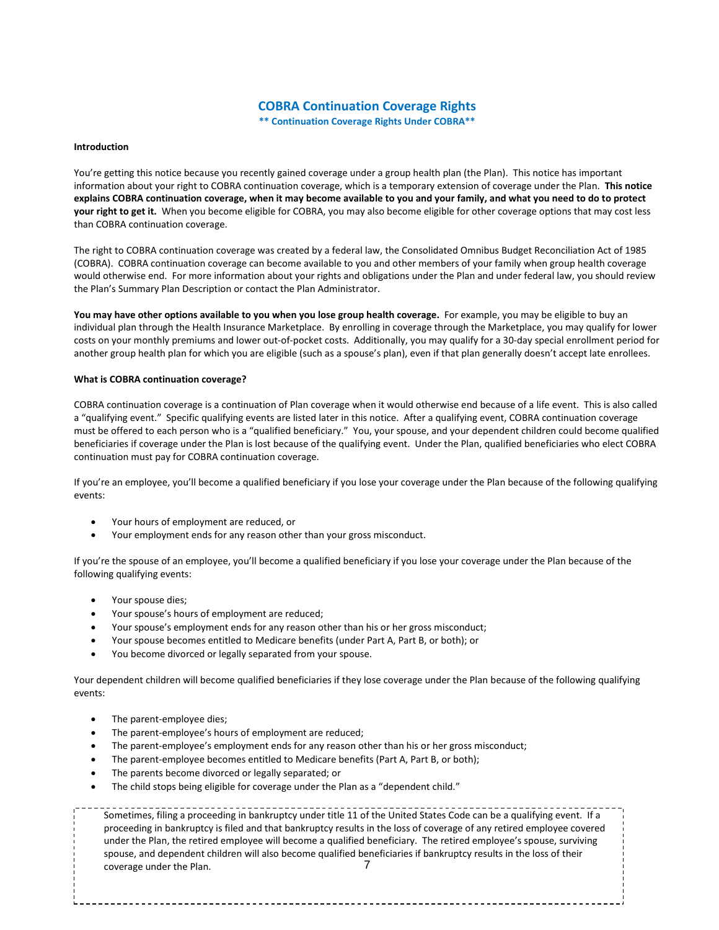# **COBRA Continuation Coverage Rights**

**\*\* Continuation Coverage Rights Under COBRA\*\***

#### **Introduction**

You're getting this notice because you recently gained coverage under a group health plan (the Plan). This notice has important information about your right to COBRA continuation coverage, which is a temporary extension of coverage under the Plan. **This notice explains COBRA continuation coverage, when it may become available to you and your family, and what you need to do to protect your right to get it.** When you become eligible for COBRA, you may also become eligible for other coverage options that may cost less than COBRA continuation coverage.

The right to COBRA continuation coverage was created by a federal law, the Consolidated Omnibus Budget Reconciliation Act of 1985 (COBRA). COBRA continuation coverage can become available to you and other members of your family when group health coverage would otherwise end. For more information about your rights and obligations under the Plan and under federal law, you should review the Plan's Summary Plan Description or contact the Plan Administrator.

**You may have other options available to you when you lose group health coverage.** For example, you may be eligible to buy an individual plan through the Health Insurance Marketplace. By enrolling in coverage through the Marketplace, you may qualify for lower costs on your monthly premiums and lower out-of-pocket costs. Additionally, you may qualify for a 30-day special enrollment period for another group health plan for which you are eligible (such as a spouse's plan), even if that plan generally doesn't accept late enrollees.

#### **What is COBRA continuation coverage?**

COBRA continuation coverage is a continuation of Plan coverage when it would otherwise end because of a life event. This is also called a "qualifying event." Specific qualifying events are listed later in this notice. After a qualifying event, COBRA continuation coverage must be offered to each person who is a "qualified beneficiary." You, your spouse, and your dependent children could become qualified beneficiaries if coverage under the Plan is lost because of the qualifying event. Under the Plan, qualified beneficiaries who elect COBRA continuation must pay for COBRA continuation coverage.

If you're an employee, you'll become a qualified beneficiary if you lose your coverage under the Plan because of the following qualifying events:

- Your hours of employment are reduced, or
- Your employment ends for any reason other than your gross misconduct.

If you're the spouse of an employee, you'll become a qualified beneficiary if you lose your coverage under the Plan because of the following qualifying events:

- Your spouse dies;
- Your spouse's hours of employment are reduced;
- Your spouse's employment ends for any reason other than his or her gross misconduct;
- Your spouse becomes entitled to Medicare benefits (under Part A, Part B, or both); or
- You become divorced or legally separated from your spouse.

Your dependent children will become qualified beneficiaries if they lose coverage under the Plan because of the following qualifying events:

- The parent-employee dies;
- The parent-employee's hours of employment are reduced;
- The parent-employee's employment ends for any reason other than his or her gross misconduct;
- The parent-employee becomes entitled to Medicare benefits (Part A, Part B, or both);
- The parents become divorced or legally separated; or
- The child stops being eligible for coverage under the Plan as a "dependent child."

Sometimes, filing a proceeding in bankruptcy under title 11 of the United States Code can be a qualifying event. If a proceeding in bankruptcy is filed and that bankruptcy results in the loss of coverage of any retired employee covered under the Plan, the retired employee will become a qualified beneficiary. The retired employee's spouse, surviving spouse, and dependent children will also become qualified beneficiaries if bankruptcy results in the loss of their coverage under the Plan. The same state of  $\sim$  7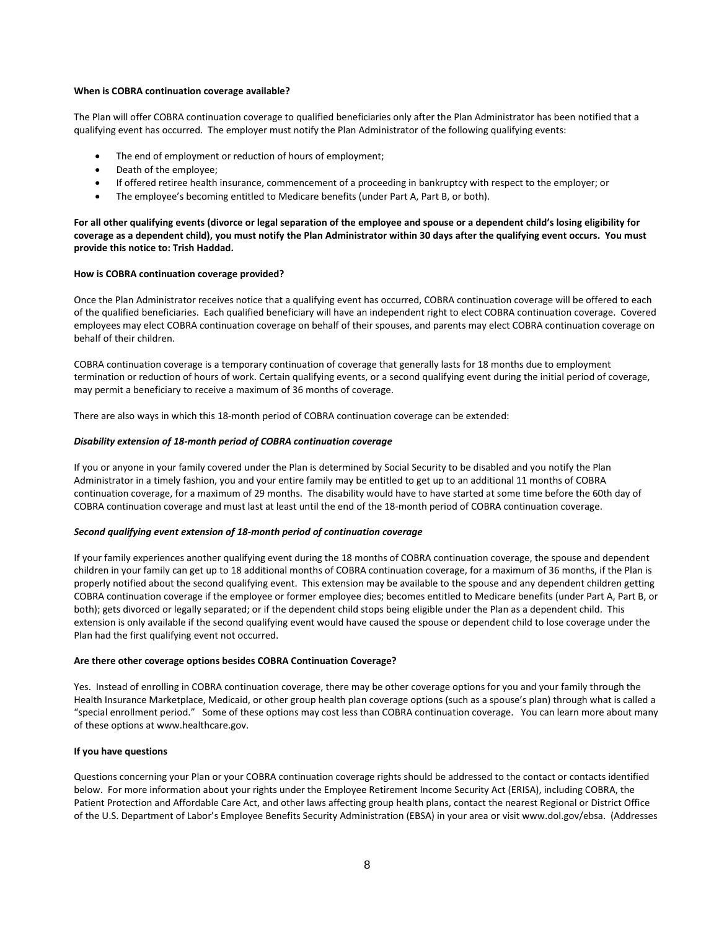#### **When is COBRA continuation coverage available?**

The Plan will offer COBRA continuation coverage to qualified beneficiaries only after the Plan Administrator has been notified that a qualifying event has occurred. The employer must notify the Plan Administrator of the following qualifying events:

- The end of employment or reduction of hours of employment;
- Death of the employee;
- If offered retiree health insurance, commencement of a proceeding in bankruptcy with respect to the employer; or
- The employee's becoming entitled to Medicare benefits (under Part A, Part B, or both).

**For all other qualifying events (divorce or legal separation of the employee and spouse or a dependent child's losing eligibility for coverage as a dependent child), you must notify the Plan Administrator within 30 days after the qualifying event occurs. You must provide this notice to: Trish Haddad.**

#### **How is COBRA continuation coverage provided?**

Once the Plan Administrator receives notice that a qualifying event has occurred, COBRA continuation coverage will be offered to each of the qualified beneficiaries. Each qualified beneficiary will have an independent right to elect COBRA continuation coverage. Covered employees may elect COBRA continuation coverage on behalf of their spouses, and parents may elect COBRA continuation coverage on behalf of their children.

COBRA continuation coverage is a temporary continuation of coverage that generally lasts for 18 months due to employment termination or reduction of hours of work. Certain qualifying events, or a second qualifying event during the initial period of coverage, may permit a beneficiary to receive a maximum of 36 months of coverage.

There are also ways in which this 18-month period of COBRA continuation coverage can be extended:

#### *Disability extension of 18-month period of COBRA continuation coverage*

If you or anyone in your family covered under the Plan is determined by Social Security to be disabled and you notify the Plan Administrator in a timely fashion, you and your entire family may be entitled to get up to an additional 11 months of COBRA continuation coverage, for a maximum of 29 months. The disability would have to have started at some time before the 60th day of COBRA continuation coverage and must last at least until the end of the 18-month period of COBRA continuation coverage.

#### *Second qualifying event extension of 18-month period of continuation coverage*

If your family experiences another qualifying event during the 18 months of COBRA continuation coverage, the spouse and dependent children in your family can get up to 18 additional months of COBRA continuation coverage, for a maximum of 36 months, if the Plan is properly notified about the second qualifying event. This extension may be available to the spouse and any dependent children getting COBRA continuation coverage if the employee or former employee dies; becomes entitled to Medicare benefits (under Part A, Part B, or both); gets divorced or legally separated; or if the dependent child stops being eligible under the Plan as a dependent child. This extension is only available if the second qualifying event would have caused the spouse or dependent child to lose coverage under the Plan had the first qualifying event not occurred.

#### **Are there other coverage options besides COBRA Continuation Coverage?**

Yes. Instead of enrolling in COBRA continuation coverage, there may be other coverage options for you and your family through the Health Insurance Marketplace, Medicaid, or other group health plan coverage options (such as a spouse's plan) through what is called a "special enrollment period." Some of these options may cost less than COBRA continuation coverage. You can learn more about many of these options at www.healthcare.gov.

#### **If you have questions**

Questions concerning your Plan or your COBRA continuation coverage rights should be addressed to the contact or contacts identified below. For more information about your rights under the Employee Retirement Income Security Act (ERISA), including COBRA, the Patient Protection and Affordable Care Act, and other laws affecting group health plans, contact the nearest Regional or District Office of the U.S. Department of Labor's Employee Benefits Security Administration (EBSA) in your area or visit www.dol.gov/ebsa. (Addresses